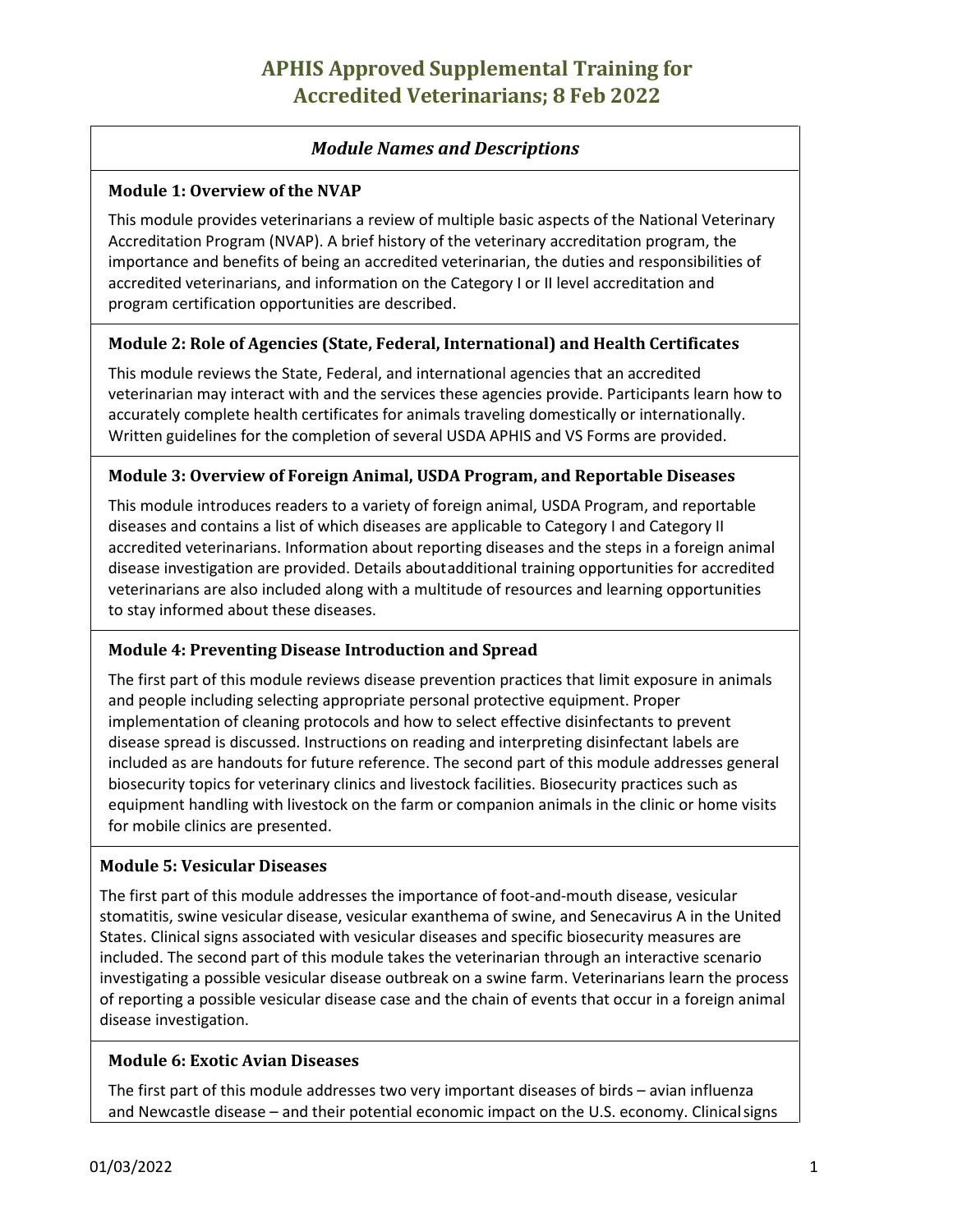# **APHIS Approved Supplemental Training for Accredited Veterinarians; 8 Feb 2022**

# *Module Names and Descriptions*

#### **Module 1: Overview of the NVAP**

This module provides veterinarians a review of multiple basic aspects of the National Veterinary Accreditation Program (NVAP). A brief history of the veterinary accreditation program, the importance and benefits of being an accredited veterinarian, the duties and responsibilities of accredited veterinarians, and information on the Category I or II level accreditation and program certification opportunities are described.

#### **Module 2: Role of Agencies (State, Federal, International) and Health Certificates**

This module reviews the State, Federal, and international agencies that an accredited veterinarian may interact with and the services these agencies provide. Participants learn how to accurately complete health certificates for animals traveling domestically or internationally. Written guidelines for the completion of several USDA APHIS and VS Forms are provided.

#### **Module 3: Overview of Foreign Animal, USDA Program, and Reportable Diseases**

This module introduces readers to a variety of foreign animal, USDA Program, and reportable diseases and contains a list of which diseases are applicable to Category I and Category II accredited veterinarians. Information about reporting diseases and the steps in a foreign animal disease investigation are provided. Details aboutadditional training opportunities for accredited veterinarians are also included along with a multitude of resources and learning opportunities to stay informed about these diseases.

## **Module 4: Preventing Disease Introduction and Spread**

The first part of this module reviews disease prevention practices that limit exposure in animals and people including selecting appropriate personal protective equipment. Proper implementation of cleaning protocols and how to select effective disinfectants to prevent disease spread is discussed. Instructions on reading and interpreting disinfectant labels are included as are handouts for future reference. The second part of this module addresses general biosecurity topics for veterinary clinics and livestock facilities. Biosecurity practices such as equipment handling with livestock on the farm or companion animals in the clinic or home visits for mobile clinics are presented.

#### **Module 5: Vesicular Diseases**

The first part of this module addresses the importance of foot-and-mouth disease, vesicular stomatitis, swine vesicular disease, vesicular exanthema of swine, and Senecavirus A in the United States. Clinical signs associated with vesicular diseases and specific biosecurity measures are included. The second part of this module takes the veterinarian through an interactive scenario investigating a possible vesicular disease outbreak on a swine farm. Veterinarians learn the process of reporting a possible vesicular disease case and the chain of events that occur in a foreign animal disease investigation.

## **Module 6: Exotic Avian Diseases**

The first part of this module addresses two very important diseases of birds – avian influenza and Newcastle disease – and their potential economic impact on the U.S. economy. Clinicalsigns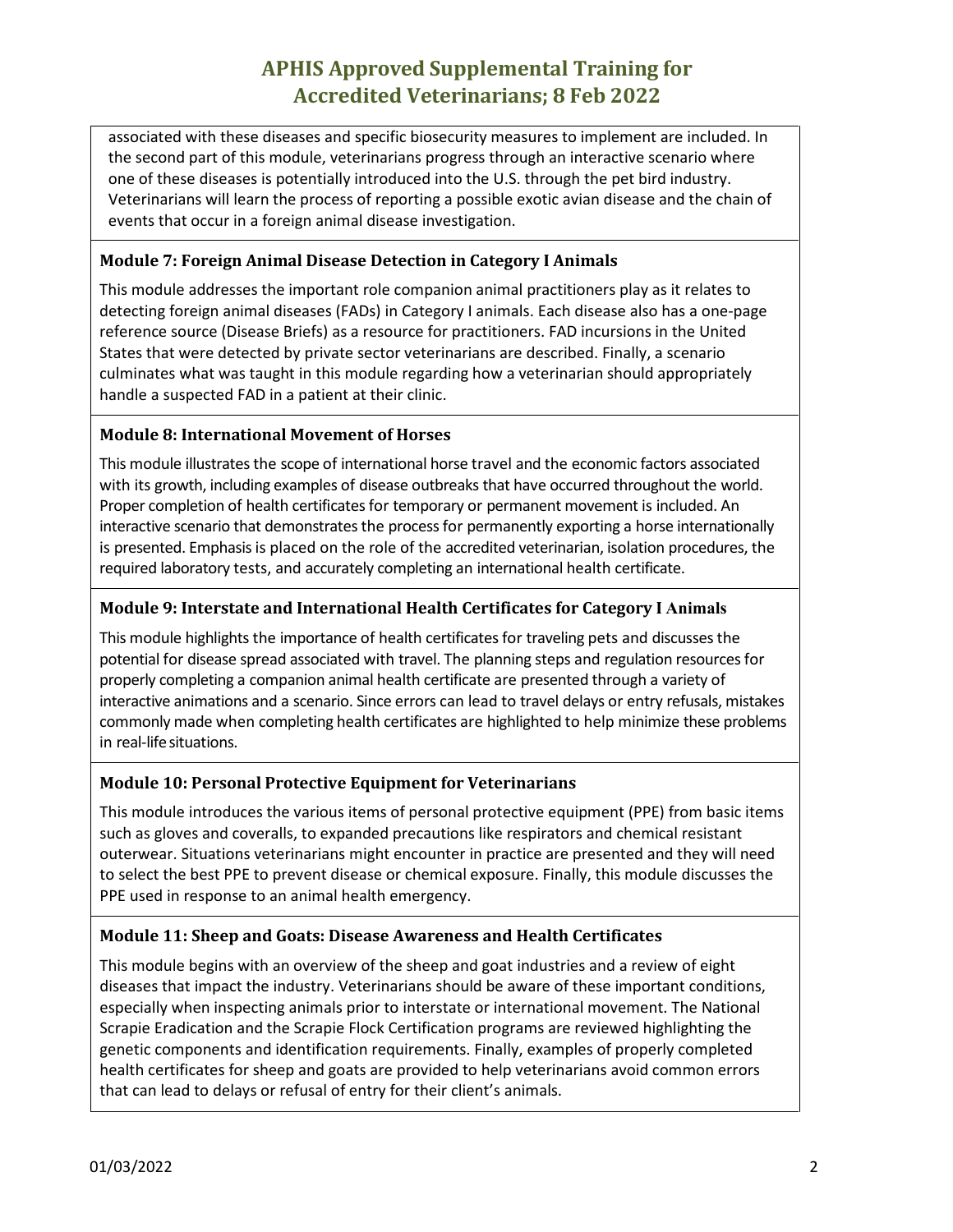# **APHIS Approved Supplemental Training for Accredited Veterinarians; 8 Feb 2022**

associated with these diseases and specific biosecurity measures to implement are included. In the second part of this module, veterinarians progress through an interactive scenario where one of these diseases is potentially introduced into the U.S. through the pet bird industry. Veterinarians will learn the process of reporting a possible exotic avian disease and the chain of events that occur in a foreign animal disease investigation.

# **Module 7: Foreign Animal Disease Detection in Category I Animals**

This module addresses the important role companion animal practitioners play as it relates to detecting foreign animal diseases (FADs) in Category I animals. Each disease also has a one-page reference source (Disease Briefs) as a resource for practitioners. FAD incursions in the United States that were detected by private sector veterinarians are described. Finally, a scenario culminates what was taught in this module regarding how a veterinarian should appropriately handle a suspected FAD in a patient at their clinic.

## **Module 8: International Movement of Horses**

This module illustrates the scope of international horse travel and the economic factors associated with its growth, including examples of disease outbreaks that have occurred throughout the world. Proper completion of health certificates for temporary or permanent movement is included. An interactive scenario that demonstrates the process for permanently exporting a horse internationally is presented. Emphasis is placed on the role of the accredited veterinarian, isolation procedures, the required laboratory tests, and accurately completing an international health certificate.

## **Module 9: Interstate and International Health Certificates for Category I Animals**

This module highlights the importance of health certificates for traveling pets and discusses the potential for disease spread associated with travel. The planning steps and regulation resources for properly completing a companion animal health certificate are presented through a variety of interactive animations and a scenario. Since errors can lead to travel delays or entry refusals, mistakes commonly made when completing health certificates are highlighted to help minimize these problems in real-lifesituations.

## **Module 10: Personal Protective Equipment for Veterinarians**

This module introduces the various items of personal protective equipment (PPE) from basic items such as gloves and coveralls, to expanded precautions like respirators and chemical resistant outerwear. Situations veterinarians might encounter in practice are presented and they will need to select the best PPE to prevent disease or chemical exposure. Finally, this module discusses the PPE used in response to an animal health emergency.

## **Module 11: Sheep and Goats: Disease Awareness and Health Certificates**

This module begins with an overview of the sheep and goat industries and a review of eight diseases that impact the industry. Veterinarians should be aware of these important conditions, especially when inspecting animals prior to interstate or international movement. The National Scrapie Eradication and the Scrapie Flock Certification programs are reviewed highlighting the genetic components and identification requirements. Finally, examples of properly completed health certificates for sheep and goats are provided to help veterinarians avoid common errors that can lead to delays or refusal of entry for their client's animals.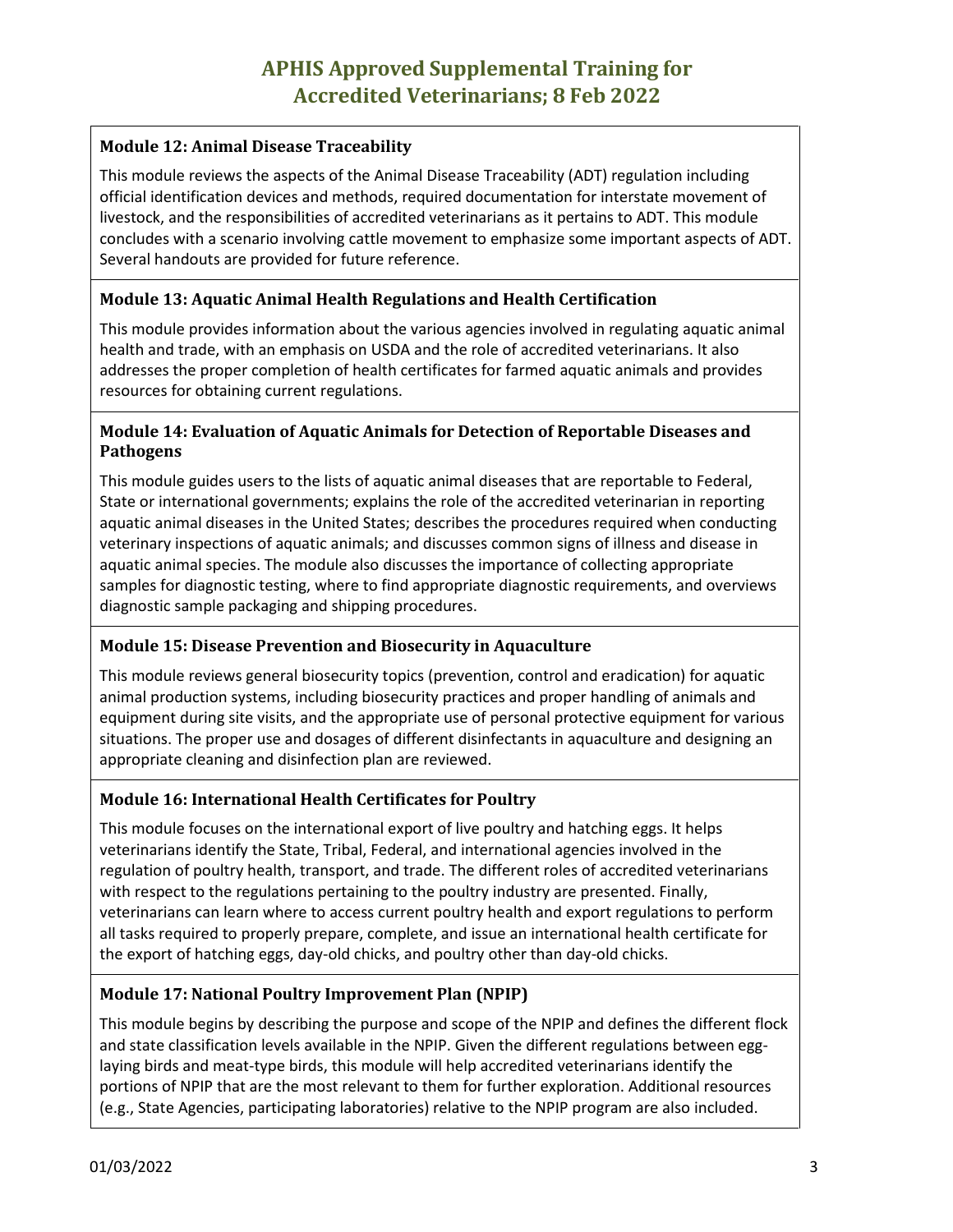# **Module 12: Animal Disease Traceability**

This module reviews the aspects of the Animal Disease Traceability (ADT) regulation including official identification devices and methods, required documentation for interstate movement of livestock, and the responsibilities of accredited veterinarians as it pertains to ADT. This module concludes with a scenario involving cattle movement to emphasize some important aspects of ADT. Several handouts are provided for future reference.

# **Module 13: Aquatic Animal Health Regulations and Health Certification**

This module provides information about the various agencies involved in regulating aquatic animal health and trade, with an emphasis on USDA and the role of accredited veterinarians. It also addresses the proper completion of health certificates for farmed aquatic animals and provides resources for obtaining current regulations.

# **Module 14: Evaluation of Aquatic Animals for Detection of Reportable Diseases and Pathogens**

This module guides users to the lists of aquatic animal diseases that are reportable to Federal, State or international governments; explains the role of the accredited veterinarian in reporting aquatic animal diseases in the United States; describes the procedures required when conducting veterinary inspections of aquatic animals; and discusses common signs of illness and disease in aquatic animal species. The module also discusses the importance of collecting appropriate samples for diagnostic testing, where to find appropriate diagnostic requirements, and overviews diagnostic sample packaging and shipping procedures.

# **Module 15: Disease Prevention and Biosecurity in Aquaculture**

This module reviews general biosecurity topics (prevention, control and eradication) for aquatic animal production systems, including biosecurity practices and proper handling of animals and equipment during site visits, and the appropriate use of personal protective equipment for various situations. The proper use and dosages of different disinfectants in aquaculture and designing an appropriate cleaning and disinfection plan are reviewed.

# **Module 16: International Health Certificates for Poultry**

This module focuses on the international export of live poultry and hatching eggs. It helps veterinarians identify the State, Tribal, Federal, and international agencies involved in the regulation of poultry health, transport, and trade. The different roles of accredited veterinarians with respect to the regulations pertaining to the poultry industry are presented. Finally, veterinarians can learn where to access current poultry health and export regulations to perform all tasks required to properly prepare, complete, and issue an international health certificate for the export of hatching eggs, day-old chicks, and poultry other than day-old chicks.

# **Module 17: National Poultry Improvement Plan (NPIP)**

This module begins by describing the purpose and scope of the NPIP and defines the different flock and state classification levels available in the NPIP. Given the different regulations between egglaying birds and meat-type birds, this module will help accredited veterinarians identify the portions of NPIP that are the most relevant to them for further exploration. Additional resources (e.g., State Agencies, participating laboratories) relative to the NPIP program are also included.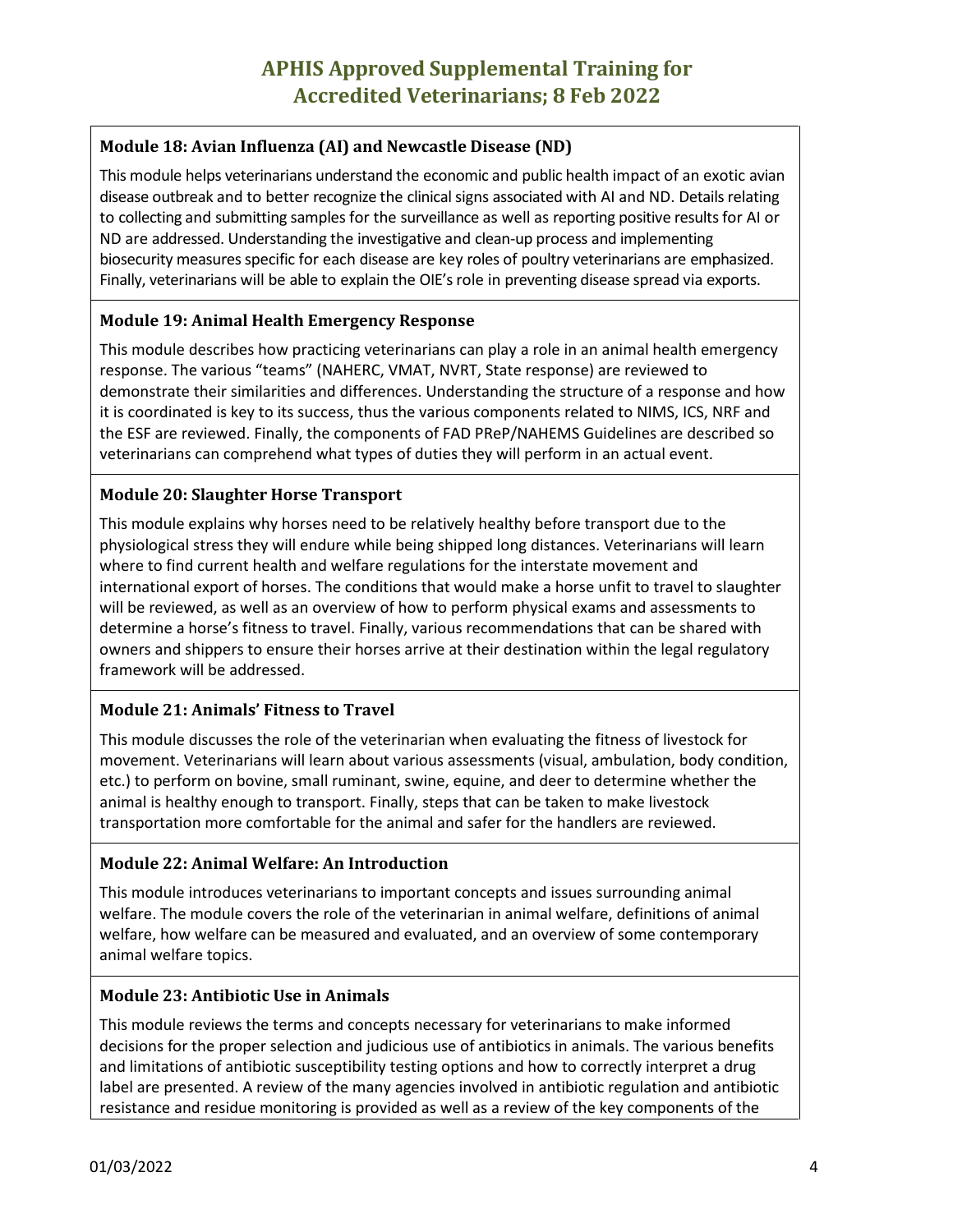# **Module 18: Avian Influenza (AI) and Newcastle Disease (ND)**

This module helps veterinarians understand the economic and public health impact of an exotic avian disease outbreak and to better recognize the clinical signs associated with AI and ND. Details relating to collecting and submitting samples for the surveillance as well as reporting positive results for AI or ND are addressed. Understanding the investigative and clean-up process and implementing biosecurity measures specific for each disease are key roles of poultry veterinarians are emphasized. Finally, veterinarians will be able to explain the OIE's role in preventing disease spread via exports.

# **Module 19: Animal Health Emergency Response**

This module describes how practicing veterinarians can play a role in an animal health emergency response. The various "teams" (NAHERC, VMAT, NVRT, State response) are reviewed to demonstrate their similarities and differences. Understanding the structure of a response and how it is coordinated is key to its success, thus the various components related to NIMS, ICS, NRF and the ESF are reviewed. Finally, the components of FAD PReP/NAHEMS Guidelines are described so veterinarians can comprehend what types of duties they will perform in an actual event.

# **Module 20: Slaughter Horse Transport**

This module explains why horses need to be relatively healthy before transport due to the physiological stress they will endure while being shipped long distances. Veterinarians will learn where to find current health and welfare regulations for the interstate movement and international export of horses. The conditions that would make a horse unfit to travel to slaughter will be reviewed, as well as an overview of how to perform physical exams and assessments to determine a horse's fitness to travel. Finally, various recommendations that can be shared with owners and shippers to ensure their horses arrive at their destination within the legal regulatory framework will be addressed.

# **Module 21: Animals' Fitness to Travel**

This module discusses the role of the veterinarian when evaluating the fitness of livestock for movement. Veterinarians will learn about various assessments (visual, ambulation, body condition, etc.) to perform on bovine, small ruminant, swine, equine, and deer to determine whether the animal is healthy enough to transport. Finally, steps that can be taken to make livestock transportation more comfortable for the animal and safer for the handlers are reviewed.

# **Module 22: Animal Welfare: An Introduction**

This module introduces veterinarians to important concepts and issues surrounding animal welfare. The module covers the role of the veterinarian in animal welfare, definitions of animal welfare, how welfare can be measured and evaluated, and an overview of some contemporary animal welfare topics.

# **Module 23: Antibiotic Use in Animals**

This module reviews the terms and concepts necessary for veterinarians to make informed decisions for the proper selection and judicious use of antibiotics in animals. The various benefits and limitations of antibiotic susceptibility testing options and how to correctly interpret a drug label are presented. A review of the many agencies involved in antibiotic regulation and antibiotic resistance and residue monitoring is provided as well as a review of the key components of the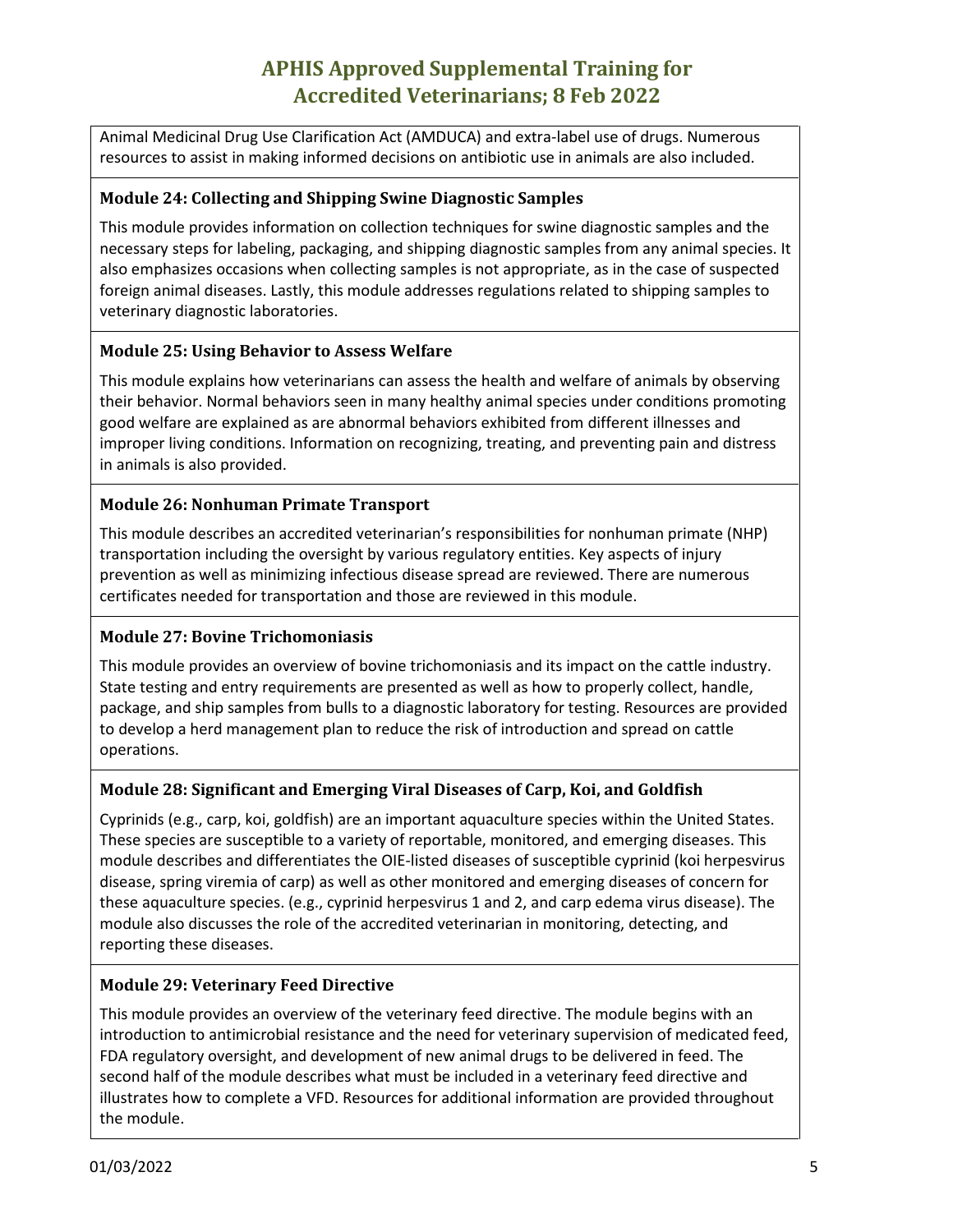# **APHIS Approved Supplemental Training for Accredited Veterinarians; 8 Feb 2022**

Animal Medicinal Drug Use Clarification Act (AMDUCA) and extra-label use of drugs. Numerous resources to assist in making informed decisions on antibiotic use in animals are also included.

## **Module 24: Collecting and Shipping Swine Diagnostic Samples**

This module provides information on collection techniques for swine diagnostic samples and the necessary steps for labeling, packaging, and shipping diagnostic samples from any animal species. It also emphasizes occasions when collecting samples is not appropriate, as in the case of suspected foreign animal diseases. Lastly, this module addresses regulations related to shipping samples to veterinary diagnostic laboratories.

# **Module 25: Using Behavior to Assess Welfare**

This module explains how veterinarians can assess the health and welfare of animals by observing their behavior. Normal behaviors seen in many healthy animal species under conditions promoting good welfare are explained as are abnormal behaviors exhibited from different illnesses and improper living conditions. Information on recognizing, treating, and preventing pain and distress in animals is also provided.

## **Module 26: Nonhuman Primate Transport**

This module describes an accredited veterinarian's responsibilities for nonhuman primate (NHP) transportation including the oversight by various regulatory entities. Key aspects of injury prevention as well as minimizing infectious disease spread are reviewed. There are numerous certificates needed for transportation and those are reviewed in this module.

# **Module 27: Bovine Trichomoniasis**

This module provides an overview of bovine trichomoniasis and its impact on the cattle industry. State testing and entry requirements are presented as well as how to properly collect, handle, package, and ship samples from bulls to a diagnostic laboratory for testing. Resources are provided to develop a herd management plan to reduce the risk of introduction and spread on cattle operations.

## **Module 28: Significant and Emerging Viral Diseases of Carp, Koi, and Goldfish**

Cyprinids (e.g., carp, koi, goldfish) are an important aquaculture species within the United States. These species are susceptible to a variety of reportable, monitored, and emerging diseases. This module describes and differentiates the OIE-listed diseases of susceptible cyprinid (koi herpesvirus disease, spring viremia of carp) as well as other monitored and emerging diseases of concern for these aquaculture species. (e.g., cyprinid herpesvirus 1 and 2, and carp edema virus disease). The module also discusses the role of the accredited veterinarian in monitoring, detecting, and reporting these diseases.

## **Module 29: Veterinary Feed Directive**

This module provides an overview of the veterinary feed directive. The module begins with an introduction to antimicrobial resistance and the need for veterinary supervision of medicated feed, FDA regulatory oversight, and development of new animal drugs to be delivered in feed. The second half of the module describes what must be included in a veterinary feed directive and illustrates how to complete a VFD. Resources for additional information are provided throughout the module.